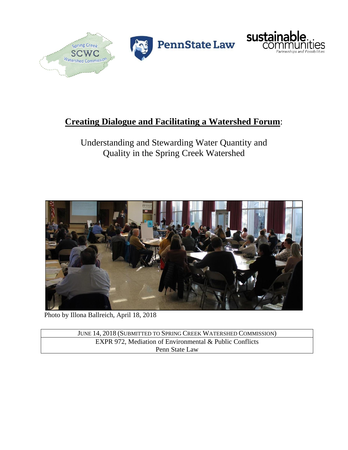



# **Creating Dialogue and Facilitating a Watershed Forum**:

# Understanding and Stewarding Water Quantity and Quality in the Spring Creek Watershed



Photo by Illona Ballreich, April 18, 2018

JUNE 14, 2018 (SUBMITTED TO SPRING CREEK WATERSHED COMMISSION) EXPR 972, Mediation of Environmental & Public Conflicts Penn State Law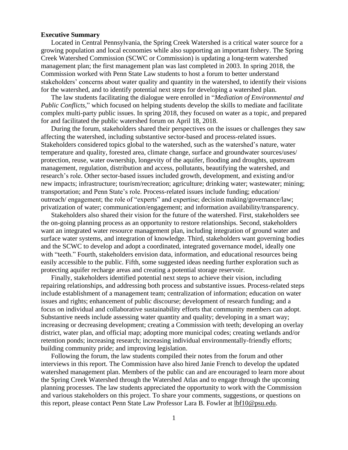#### <span id="page-1-0"></span>**Executive Summary**

Located in Central Pennsylvania, the Spring Creek Watershed is a critical water source for a growing population and local economies while also supporting an important fishery. The Spring Creek Watershed Commission (SCWC or Commission) is updating a long-term watershed management plan; the first management plan was last completed in 2003. In spring 2018, the Commission worked with Penn State Law students to host a forum to better understand stakeholders' concerns about water quality and quantity in the watershed, to identify their visions for the watershed, and to identify potential next steps for developing a watershed plan.

The law students facilitating the dialogue were enrolled in "*Mediation of Environmental and Public Conflicts*," which focused on helping students develop the skills to mediate and facilitate complex multi-party public issues. In spring 2018, they focused on water as a topic, and prepared for and facilitated the public watershed forum on April 18, 2018.

During the forum, stakeholders shared their perspectives on the issues or challenges they saw affecting the watershed, including substantive sector-based and process-related issues. Stakeholders considered topics global to the watershed, such as the watershed's nature, water temperature and quality, forested area, climate change, surface and groundwater sources/uses/ protection, reuse, water ownership, longevity of the aquifer, flooding and droughts, upstream management, regulation, distribution and access, pollutants, beautifying the watershed, and research's role. Other sector-based issues included growth, development, and existing and/or new impacts; infrastructure; tourism/recreation; agriculture; drinking water; wastewater; mining; transportation; and Penn State's role. Process-related issues include funding; education/ outreach/ engagement; the role of "experts" and expertise; decision making/governance/law; privatization of water; communication/engagement; and information availability/transparency.

Stakeholders also shared their vision for the future of the watershed. First, stakeholders see the on-going planning process as an opportunity to restore relationships. Second, stakeholders want an integrated water resource management plan, including integration of ground water and surface water systems, and integration of knowledge. Third, stakeholders want governing bodies and the SCWC to develop and adopt a coordinated, integrated governance model, ideally one with "teeth." Fourth, stakeholders envision data, information, and educational resources being easily accessible to the public. Fifth, some suggested ideas needing further exploration such as protecting aquifer recharge areas and creating a potential storage reservoir.

Finally, stakeholders identified potential next steps to achieve their vision, including repairing relationships, and addressing both process and substantive issues. Process-related steps include establishment of a management team; centralization of information; education on water issues and rights; enhancement of public discourse; development of research funding; and a focus on individual and collaborative sustainability efforts that community members can adopt. Substantive needs include assessing water quantity and quality; developing in a smart way; increasing or decreasing development; creating a Commission with teeth; developing an overlay district, water plan, and official map; adopting more municipal codes; creating wetlands and/or retention ponds; increasing research; increasing individual environmentally-friendly efforts; building community pride; and improving legislation.

Following the forum, the law students compiled their notes from the forum and other interviews in this report. The Commission have also hired Janie French to develop the updated watershed management plan. Members of the public can and are encouraged to learn more about the Spring Creek Watershed through the Watershed Atlas and to engage through the upcoming planning processes. The law students appreciated the opportunity to work with the Commission and various stakeholders on this project. To share your comments, suggestions, or questions on this report, please contact Penn State Law Professor Lara B. Fowler at [lbf10@psu.edu.](mailto:lbf10@psu.edu)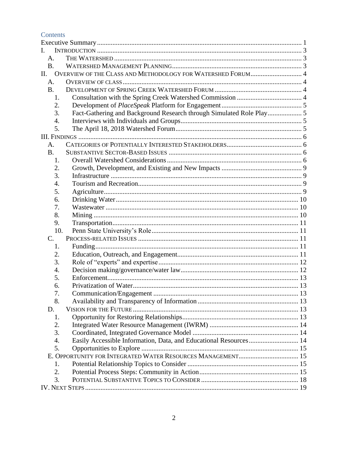Contents

| L.                                                                 |                                                                      |  |  |  |
|--------------------------------------------------------------------|----------------------------------------------------------------------|--|--|--|
| A.                                                                 |                                                                      |  |  |  |
| <b>B.</b>                                                          |                                                                      |  |  |  |
| OVERVIEW OF THE CLASS AND METHODOLOGY FOR WATERSHED FORUM 4<br>II. |                                                                      |  |  |  |
| A.                                                                 |                                                                      |  |  |  |
| <b>B.</b>                                                          |                                                                      |  |  |  |
| 1.                                                                 |                                                                      |  |  |  |
| 2.                                                                 |                                                                      |  |  |  |
| 3.                                                                 | Fact-Gathering and Background Research through Simulated Role Play 5 |  |  |  |
| 4.                                                                 |                                                                      |  |  |  |
| 5.                                                                 |                                                                      |  |  |  |
|                                                                    |                                                                      |  |  |  |
| A.                                                                 |                                                                      |  |  |  |
| <b>B.</b>                                                          |                                                                      |  |  |  |
| 1.                                                                 |                                                                      |  |  |  |
| 2.                                                                 |                                                                      |  |  |  |
| 3.                                                                 |                                                                      |  |  |  |
| 4.                                                                 |                                                                      |  |  |  |
| 5.                                                                 |                                                                      |  |  |  |
| 6.                                                                 |                                                                      |  |  |  |
| 7.                                                                 |                                                                      |  |  |  |
| 8.                                                                 |                                                                      |  |  |  |
| 9.                                                                 |                                                                      |  |  |  |
| 10.                                                                |                                                                      |  |  |  |
| $C_{\cdot}$                                                        |                                                                      |  |  |  |
| 1.                                                                 |                                                                      |  |  |  |
| 2.                                                                 |                                                                      |  |  |  |
| 3.                                                                 |                                                                      |  |  |  |
| 4.                                                                 |                                                                      |  |  |  |
| 5.                                                                 |                                                                      |  |  |  |
| 6.                                                                 |                                                                      |  |  |  |
| 7.                                                                 |                                                                      |  |  |  |
| 8.                                                                 |                                                                      |  |  |  |
| D.                                                                 |                                                                      |  |  |  |
| 1.                                                                 |                                                                      |  |  |  |
| 2.                                                                 |                                                                      |  |  |  |
| 3.                                                                 |                                                                      |  |  |  |
| 4.                                                                 | Easily Accessible Information, Data, and Educational Resources 14    |  |  |  |
| 5.                                                                 |                                                                      |  |  |  |
|                                                                    |                                                                      |  |  |  |
| 1.                                                                 |                                                                      |  |  |  |
| 2.                                                                 |                                                                      |  |  |  |
| 3.                                                                 |                                                                      |  |  |  |
|                                                                    |                                                                      |  |  |  |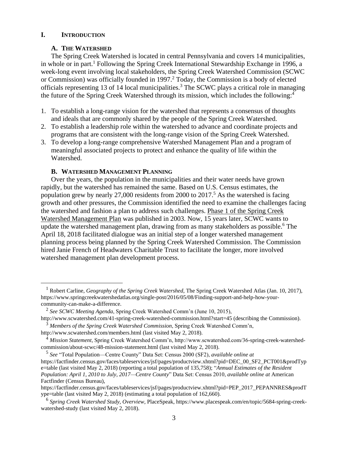#### <span id="page-3-1"></span><span id="page-3-0"></span>**I. INTRODUCTION**

 $\overline{a}$ 

#### **A. THE WATERSHED**

The Spring Creek Watershed is located in central Pennsylvania and covers 14 municipalities, in whole or in part.<sup>1</sup> Following the Spring Creek International Stewardship Exchange in 1996, a week-long event involving local stakeholders, the Spring Creek Watershed Commission (SCWC or Commission) was officially founded in 1997.<sup>2</sup> Today, the Commission is a body of elected officials representing 13 of 14 local municipalities.<sup>3</sup> The SCWC plays a critical role in managing the future of the Spring Creek Watershed through its mission, which includes the following:<sup>4</sup>

- 1. To establish a long-range vision for the watershed that represents a consensus of thoughts and ideals that are commonly shared by the people of the Spring Creek Watershed.
- 2. To establish a leadership role within the watershed to advance and coordinate projects and programs that are consistent with the long-range vision of the Spring Creek Watershed.
- 3. To develop a long-range comprehensive Watershed Management Plan and a program of meaningful associated projects to protect and enhance the quality of life within the Watershed.

#### <span id="page-3-2"></span>**B. WATERSHED MANAGEMENT PLANNING**

Over the years, the population in the municipalities and their water needs have grown rapidly, but the watershed has remained the same. Based on U.S. Census estimates, the population grew by nearly 27,000 residents from 2000 to 2017. <sup>5</sup> As the watershed is facing growth and other pressures, the Commission identified the need to examine the challenges facing the watershed and fashion a plan to address such challenges. [Phase 1 of the Spring Creek](https://www.placespeak.com/uploads/5684/Clearwater_SCW_Plan.pdf)  [Watershed Management Plan](https://www.placespeak.com/uploads/5684/Clearwater_SCW_Plan.pdf) was published in 2003. Now, 15 years later, SCWC wants to update the watershed management plan, drawing from as many stakeholders as possible. <sup>6</sup> The April 18, 2018 facilitated dialogue was an initial step of a longer watershed management planning process being planned by the Spring Creek Watershed Commission. The Commission hired Janie French of Headwaters Charitable Trust to facilitate the longer, more involved watershed management plan development process.

<sup>1</sup> Robert Carline, *Geography of the Spring Creek Watershed*, The Spring Creek Watershed Atlas (Jan. 10, 2017), https://www.springcreekwatershedatlas.org/single-post/2016/05/08/Finding-support-and-help-how-yourcommunity-can-make-a-difference.

<sup>2</sup> *See SCWC Meeting Agenda*, Spring Creek Watershed Comm'n (June 10, 2015),

http://www.scwatershed.com/41-spring-creek-watershed-commission.html?start=45 (describing the Commission). <sup>3</sup> *Members of the Spring Creek Watershed Commission*, Spring Creek Watershed Comm'n,

http://www.scwatershed.com/members.html (last visited May 2, 2018).

<sup>4</sup> *Mission Statement*, Spring Creek Watershed Comm'n, http://www.scwatershed.com/36-spring-creek-watershedcommission/about-scwc/48-mission-statement.html (last visited May 2, 2018).

<sup>5</sup> *See* "Total Population—Centre County" Data Set: Census 2000 (SF2), *available online at* https://factfinder.census.gov/faces/tableservices/jsf/pages/productview.xhtml?pid=DEC\_00\_SF2\_PCT001&prodTyp e=table (last visited May 2, 2018) (reporting a total population of 135,758); "*Annual Estimates of the Resident Population: April 1, 2010 to July, 2017—Centre County*" Data Set: Census 2010, *available online at* American Factfinder (Census Bureau),

https://factfinder.census.gov/faces/tableservices/jsf/pages/productview.xhtml?pid=PEP\_2017\_PEPANNRES&prodT ype=table (last visited May 2, 2018) (estimating a total population of 162,660).

<sup>6</sup> *Spring Creek Watershed Study, Overview*, PlaceSpeak, https://www.placespeak.com/en/topic/5684-spring-creekwatershed-study (last visited May 2, 2018).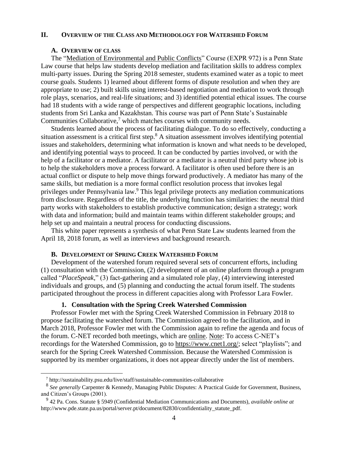#### <span id="page-4-0"></span>**II. OVERVIEW OF THE CLASS AND METHODOLOGY FOR WATERSHED FORUM**

#### **A. OVERVIEW OF CLASS**

<span id="page-4-1"></span>The ["Mediation of Environmental and Public Conflicts"](https://pennstatelaw.psu.edu/courses/mediation-environmental-and-public-conflicts) Course (EXPR 972) is a Penn State Law course that helps law students develop mediation and facilitation skills to address complex multi-party issues. During the Spring 2018 semester, students examined water as a topic to meet course goals. Students 1) learned about different forms of dispute resolution and when they are appropriate to use; 2) built skills using interest-based negotiation and mediation to work through role plays, scenarios, and real-life situations; and 3) identified potential ethical issues. The course had 18 students with a wide range of perspectives and different geographic locations, including students from Sri Lanka and Kazakhstan. This course was part of Penn State's Sustainable Communities Collaborative, $\frac{7}{1}$  which matches courses with community needs.

Students learned about the process of facilitating dialogue. To do so effectively, conducting a situation assessment is a critical first step.<sup>8</sup> A situation assessment involves identifying potential issues and stakeholders, determining what information is known and what needs to be developed, and identifying potential ways to proceed. It can be conducted by parties involved, or with the help of a facilitator or a mediator. A facilitator or a mediator is a neutral third party whose job is to help the stakeholders move a process forward. A facilitator is often used before there is an actual conflict or dispute to help move things forward productively. A mediator has many of the same skills, but mediation is a more formal conflict resolution process that invokes legal privileges under Pennsylvania law.<sup>9</sup> This legal privilege protects any mediation communications from disclosure. Regardless of the title, the underlying function has similarities: the neutral third party works with stakeholders to establish productive communication; design a strategy; work with data and information; build and maintain teams within different stakeholder groups; and help set up and maintain a neutral process for conducting discussions.

This white paper represents a synthesis of what Penn State Law students learned from the April 18, 2018 forum, as well as interviews and background research.

#### **B. DEVELOPMENT OF SPRING CREEK WATERSHED FORUM**

<span id="page-4-2"></span>Development of the watershed forum required several sets of concurrent efforts, including (1) consultation with the Commission, (2) development of an online platform through a program called "*PlaceSpeak*," (3) fact-gathering and a simulated role play, (4) interviewing interested individuals and groups, and (5) planning and conducting the actual forum itself. The students participated throughout the process in different capacities along with Professor Lara Fowler.

#### **1. Consultation with the Spring Creek Watershed Commission**

<span id="page-4-3"></span>Professor Fowler met with the Spring Creek Watershed Commission in February 2018 to propose facilitating the watershed forum. The Commission agreed to the facilitation, and in March 2018, Professor Fowler met with the Commission again to refine the agenda and focus of the forum. C-NET recorded both meetings, which are [online.](https://videoplayer.telvue.com/player/GNduNoua2rBThhw6N4PRP9OCSPf6B2ru/playlists/4833?fullscreen=false&showtabssearch=true&autostart=false) Note: To access C-NET's recordings for the Watershed Commission, go to [https://www.cnet1.org/;](https://www.cnet1.org/) select "playlists"; and search for the Spring Creek Watershed Commission. Because the Watershed Commission is supported by its member organizations, it does not appear directly under the list of members.

 $\overline{a}$ 

<sup>7</sup> http://sustainability.psu.edu/live/staff/sustainable-communities-collaborative

<sup>8</sup> *See generally* Carpenter & Kennedy, Managing Public Disputes: A Practical Guide for Government, Business, and Citizen's Groups (2001).

<sup>9</sup> 42 Pa. Cons. Statute § 5949 (Confidential Mediation Communications and Documents), *available online at* http://www.pde.state.pa.us/portal/server.pt/document/82830/confidentiality\_statute\_pdf.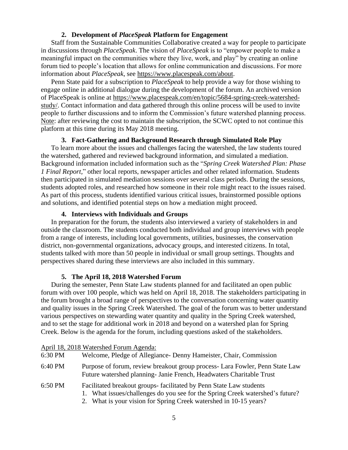# **2. Development of** *PlaceSpeak* **Platform for Engagement**

<span id="page-5-0"></span>Staff from the Sustainable Communities Collaborative created a way for people to participate in discussions through *PlaceSpeak*. The vision of *PlaceSpeak* is to "empower people to make a meaningful impact on the communities where they live, work, and play" by creating an online forum tied to people's location that allows for online communication and discussions. For more information about *PlaceSpeak*, see [https://www.placespeak.com/about.](https://www.placespeak.com/about)

Penn State paid for a subscription to *PlaceSpeak* to help provide a way for those wishing to engage online in additional dialogue during the development of the forum. An archived version of PlaceSpeak is online at [https://www.placespeak.com/en/topic/5684-spring-creek-watershed](https://www.placespeak.com/en/topic/5684-spring-creek-watershed-study/)[study/.](https://www.placespeak.com/en/topic/5684-spring-creek-watershed-study/) Contact information and data gathered through this online process will be used to invite people to further discussions and to inform the Commission's future watershed planning process. Note: after reviewing the cost to maintain the subscription, the SCWC opted to not continue this platform at this time during its May 2018 meeting.

## **3. Fact-Gathering and Background Research through Simulated Role Play**

<span id="page-5-1"></span>To learn more about the issues and challenges facing the watershed, the law students toured the watershed, gathered and reviewed background information, and simulated a mediation. Background information included information such as the "*Spring Creek Watershed Plan: Phase 1 Final Report,*" other local reports, newspaper articles and other related information. Students then participated in simulated mediation sessions over several class periods. During the sessions, students adopted roles, and researched how someone in their role might react to the issues raised. As part of this process, students identified various critical issues, brainstormed possible options and solutions, and identified potential steps on how a mediation might proceed.

## **4. Interviews with Individuals and Groups**

<span id="page-5-2"></span>In preparation for the forum, the students also interviewed a variety of stakeholders in and outside the classroom. The students conducted both individual and group interviews with people from a range of interests, including local governments, utilities, businesses, the conservation district, non-governmental organizations, advocacy groups, and interested citizens. In total, students talked with more than 50 people in individual or small group settings. Thoughts and perspectives shared during these interviews are also included in this summary.

## **5. The April 18, 2018 Watershed Forum**

<span id="page-5-3"></span>During the semester, Penn State Law students planned for and facilitated an open public forum with over 100 people, which was held on April 18, 2018. The stakeholders participating in the forum brought a broad range of perspectives to the conversation concerning water quantity and quality issues in the Spring Creek Watershed. The goal of the forum was to better understand various perspectives on stewarding water quantity and quality in the Spring Creek watershed, and to set the stage for additional work in 2018 and beyond on a watershed plan for Spring Creek. Below is the agenda for the forum, including questions asked of the stakeholders.

|         | April 18, 2018 Watershed Forum Agenda:                                                                                                                                                                                      |
|---------|-----------------------------------------------------------------------------------------------------------------------------------------------------------------------------------------------------------------------------|
| 6:30 PM | Welcome, Pledge of Allegiance - Denny Hameister, Chair, Commission                                                                                                                                                          |
| 6:40 PM | Purpose of forum, review breakout group process- Lara Fowler, Penn State Law<br>Future watershed planning- Janie French, Headwaters Charitable Trust                                                                        |
| 6:50 PM | Facilitated breakout groups-facilitated by Penn State Law students<br>What issues/challenges do you see for the Spring Creek watershed's future?<br>1.<br>2. What is your vision for Spring Creek watershed in 10-15 years? |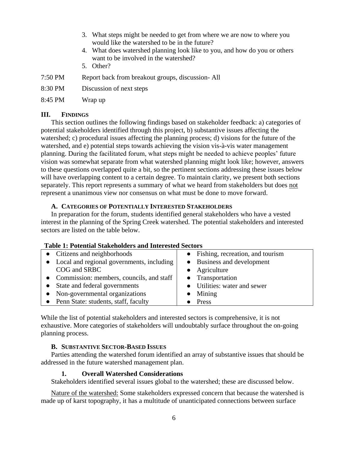- 3. What steps might be needed to get from where we are now to where you would like the watershed to be in the future?
- 4. What does watershed planning look like to you, and how do you or others want to be involved in the watershed?
- 5. Other?
- 7:50 PM Report back from breakout groups, discussion- All
- 8:30 PM Discussion of next steps
- 8:45 PM Wrap up

## <span id="page-6-0"></span>**III. FINDINGS**

This section outlines the following findings based on stakeholder feedback: a) categories of potential stakeholders identified through this project, b) substantive issues affecting the watershed; c) procedural issues affecting the planning process; d) visions for the future of the watershed, and e) potential steps towards achieving the vision vis-à-vis water management planning. During the facilitated forum, what steps might be needed to achieve peoples' future vision was somewhat separate from what watershed planning might look like; however, answers to these questions overlapped quite a bit, so the pertinent sections addressing these issues below will have overlapping content to a certain degree. To maintain clarity, we present both sections separately. This report represents a summary of what we heard from stakeholders but does not represent a unanimous view nor consensus on what must be done to move forward.

## <span id="page-6-1"></span>**A. CATEGORIES OF POTENTIALLY INTERESTED STAKEHOLDERS**

In preparation for the forum, students identified general stakeholders who have a vested interest in the planning of the Spring Creek watershed. The potential stakeholders and interested sectors are listed on the table below.

| Table 1. I olchulai Biakcholuci's and micresica Bectors |                                  |  |  |
|---------------------------------------------------------|----------------------------------|--|--|
| • Citizens and neighborhoods                            | Fishing, recreation, and tourism |  |  |
| • Local and regional governments, including             | Business and development         |  |  |
| COG and SRBC                                            | Agriculture                      |  |  |
| • Commission: members, councils, and staff              | • Transportation                 |  |  |
| • State and federal governments                         | • Utilities: water and sewer     |  |  |
| • Non-governmental organizations                        | Mining                           |  |  |
| • Penn State: students, staff, faculty                  | Press                            |  |  |

# **Table 1: Potential Stakeholders and Interested Sectors**

While the list of potential stakeholders and interested sectors is comprehensive, it is not exhaustive. More categories of stakeholders will undoubtably surface throughout the on-going planning process.

# <span id="page-6-2"></span>**B. SUBSTANTIVE SECTOR-BASED ISSUES**

<span id="page-6-3"></span>Parties attending the watershed forum identified an array of substantive issues that should be addressed in the future watershed management plan.

## **1. Overall Watershed Considerations**

Stakeholders identified several issues global to the watershed; these are discussed below.

Nature of the watershed: Some stakeholders expressed concern that because the watershed is made up of karst topography, it has a multitude of unanticipated connections between surface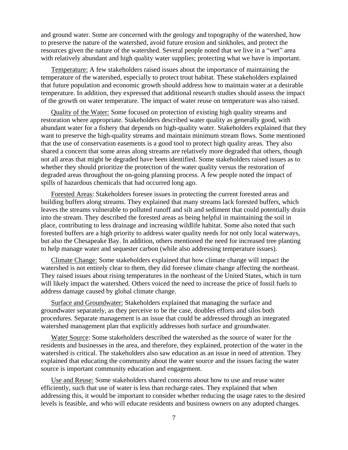and ground water. Some are concerned with the geology and topography of the watershed, how to preserve the nature of the watershed, avoid future erosion and sinkholes, and protect the resources given the nature of the watershed. Several people noted that we live in a "wet" area with relatively abundant and high quality water supplies; protecting what we have is important.

Temperature: A few stakeholders raised issues about the importance of maintaining the temperature of the watershed, especially to protect trout habitat. These stakeholders explained that future population and economic growth should address how to maintain water at a desirable temperature. In addition, they expressed that additional research studies should assess the impact of the growth on water temperature. The impact of water reuse on temperature was also raised.

Quality of the Water: Some focused on protection of existing high quality streams and restoration where appropriate. Stakeholders described water quality as generally good, with abundant water for a fishery that depends on high-quality water. Stakeholders explained that they want to preserve the high-quality streams and maintain minimum stream flows. Some mentioned that the use of conservation easements is a good tool to protect high quality areas. They also shared a concern that some areas along streams are relatively more degraded that others, though not all areas that might be degraded have been identified. Some stakeholders raised issues as to whether they should prioritize the protection of the water quality versus the restoration of degraded areas throughout the on-going planning process. A few people noted the impact of spills of hazardous chemicals that had occurred long ago.

Forested Areas: Stakeholders foresee issues in protecting the current forested areas and building buffers along streams. They explained that many streams lack forested buffers, which leaves the streams vulnerable to polluted runoff and silt and sediment that could potentially drain into the stream. They described the forested areas as being helpful in maintaining the soil in place, contributing to less drainage and increasing wildlife habitat. Some also noted that such forested buffers are a high priority to address water quality needs for not only local waterways, but also the Chesapeake Bay. In addition, others mentioned the need for increased tree planting to help manage water and sequester carbon (while also addressing temperature issues).

Climate Change: Some stakeholders explained that how climate change will impact the watershed is not entirely clear to them, they did foresee climate change affecting the northeast. They raised issues about rising temperatures in the northeast of the United States, which in turn will likely impact the watershed. Others voiced the need to increase the price of fossil fuels to address damage caused by global climate change.

Surface and Groundwater: Stakeholders explained that managing the surface and groundwater separately, as they perceive to be the case, doubles efforts and silos both procedures. Separate management is an issue that could be addressed through an integrated watershed management plan that explicitly addresses both surface and groundwater.

Water Source: Some stakeholders described the watershed as the source of water for the residents and businesses in the area, and therefore, they explained, protection of the water in the watershed is critical. The stakeholders also saw education as an issue in need of attention. They explained that educating the community about the water source and the issues facing the water source is important community education and engagement.

Use and Reuse: Some stakeholders shared concerns about how to use and reuse water efficiently, such that use of water is less than recharge rates. They explained that when addressing this, it would be important to consider whether reducing the usage rates to the desired levels is feasible, and who will educate residents and business owners on any adopted changes.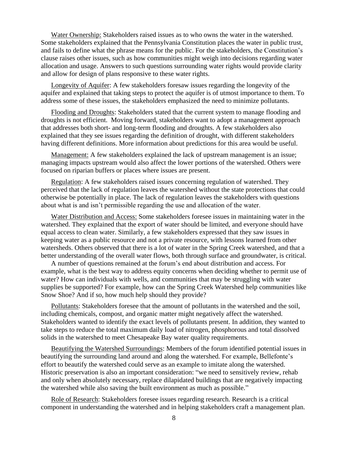Water Ownership: Stakeholders raised issues as to who owns the water in the watershed. Some stakeholders explained that the Pennsylvania Constitution places the water in public trust, and fails to define what the phrase means for the public. For the stakeholders, the Constitution's clause raises other issues, such as how communities might weigh into decisions regarding water allocation and usage. Answers to such questions surrounding water rights would provide clarity and allow for design of plans responsive to these water rights.

Longevity of Aquifer: A few stakeholders foresaw issues regarding the longevity of the aquifer and explained that taking steps to protect the aquifer is of utmost importance to them. To address some of these issues, the stakeholders emphasized the need to minimize pollutants.

Flooding and Droughts: Stakeholders stated that the current system to manage flooding and droughts is not efficient. Moving forward, stakeholders want to adopt a management approach that addresses both short- and long-term flooding and droughts. A few stakeholders also explained that they see issues regarding the definition of drought, with different stakeholders having different definitions. More information about predictions for this area would be useful.

Management: A few stakeholders explained the lack of upstream management is an issue; managing impacts upstream would also affect the lower portions of the watershed. Others were focused on riparian buffers or places where issues are present.

Regulation: A few stakeholders raised issues concerning regulation of watershed. They perceived that the lack of regulation leaves the watershed without the state protections that could otherwise be potentially in place. The lack of regulation leaves the stakeholders with questions about what is and isn't permissible regarding the use and allocation of the water.

Water Distribution and Access: Some stakeholders foresee issues in maintaining water in the watershed. They explained that the export of water should be limited, and everyone should have equal access to clean water. Similarly, a few stakeholders expressed that they saw issues in keeping water as a public resource and not a private resource, with lessons learned from other watersheds. Others observed that there is a lot of water in the Spring Creek watershed, and that a better understanding of the overall water flows, both through surface and groundwater, is critical.

A number of questions remained at the forum's end about distribution and access. For example, what is the best way to address equity concerns when deciding whether to permit use of water? How can individuals with wells, and communities that may be struggling with water supplies be supported? For example, how can the Spring Creek Watershed help communities like Snow Shoe? And if so, how much help should they provide?

Pollutants: Stakeholders foresee that the amount of pollutants in the watershed and the soil, including chemicals, compost, and organic matter might negatively affect the watershed. Stakeholders wanted to identify the exact levels of pollutants present. In addition, they wanted to take steps to reduce the total maximum daily load of nitrogen, phosphorous and total dissolved solids in the watershed to meet Chesapeake Bay water quality requirements.

Beautifying the Watershed Surroundings: Members of the forum identified potential issues in beautifying the surrounding land around and along the watershed. For example, Bellefonte's effort to beautify the watershed could serve as an example to imitate along the watershed. Historic preservation is also an important consideration: "we need to sensitively review, rehab and only when absolutely necessary, replace dilapidated buildings that are negatively impacting the watershed while also saving the built environment as much as possible."

Role of Research: Stakeholders foresee issues regarding research. Research is a critical component in understanding the watershed and in helping stakeholders craft a management plan.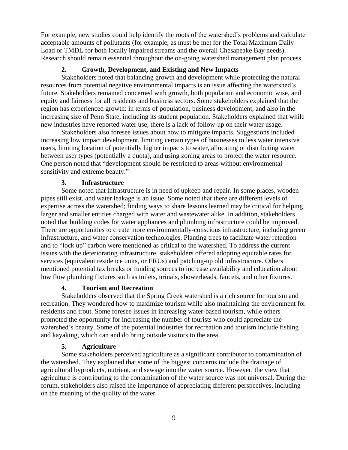For example, new studies could help identify the roots of the watershed's problems and calculate acceptable amounts of pollutants (for example, as must be met for the Total Maximum Daily Load or TMDL for both locally impaired streams and the overall Chesapeake Bay needs). Research should remain essential throughout the on-going watershed management plan process.

# **2. Growth, Development, and Existing and New Impacts**

<span id="page-9-0"></span>Stakeholders noted that balancing growth and development while protecting the natural resources from potential negative environmental impacts is an issue affecting the watershed's future. Stakeholders remained concerned with growth, both population and economic wise, and equity and fairness for all residents and business sectors. Some stakeholders explained that the region has experienced growth: in terms of population, business development, and also in the increasing size of Penn State, including its student population. Stakeholders explained that while new industries have reported water use, there is a lack of follow-up on their water usage.

Stakeholders also foresee issues about how to mitigate impacts. Suggestions included increasing low impact development, limiting certain types of businesses to less water intensive users, limiting location of potentially higher impacts to water, allocating or distributing water between user types (potentially a quota), and using zoning areas to protect the water resource. One person noted that "development should be restricted to areas without environmental sensitivity and extreme beauty."

## **3. Infrastructure**

<span id="page-9-1"></span>Some noted that infrastructure is in need of upkeep and repair. In some places, wooden pipes still exist, and water leakage is an issue. Some noted that there are different levels of expertise across the watershed; finding ways to share lessons learned may be critical for helping larger and smaller entities charged with water and wastewater alike. In addition, stakeholders noted that building codes for water appliances and plumbing infrastructure could be improved. There are opportunities to create more environmentally-conscious infrastructure, including green infrastructure, and water conservation technologies. Planting trees to facilitate water retention and to "lock up" carbon were mentioned as critical to the watershed. To address the current issues with the deteriorating infrastructure, stakeholders offered adopting equitable rates for services (equivalent residence units, or ERUs) and patching-up old infrastructure. Others mentioned potential tax breaks or funding sources to increase availability and education about low flow plumbing fixtures such as toilets, urinals, showerheads, faucets, and other fixtures.

# **4. Tourism and Recreation**

<span id="page-9-2"></span>Stakeholders observed that the Spring Creek watershed is a rich source for tourism and recreation. They wondered how to maximize tourism while also maintaining the environment for residents and trout. Some foresee issues in increasing water-based tourism, while others promoted the opportunity for increasing the number of tourists who could appreciate the watershed's beauty. Some of the potential industries for recreation and tourism include fishing and kayaking, which can and do bring outside visitors to the area.

## **5. Agriculture**

<span id="page-9-3"></span>Some stakeholders perceived agriculture as a significant contributor to contamination of the watershed. They explained that some of the biggest concerns include the drainage of agricultural byproducts, nutrient, and sewage into the water source. However, the view that agriculture is contributing to the contamination of the water source was not universal. During the forum, stakeholders also raised the importance of appreciating different perspectives, including on the meaning of the quality of the water.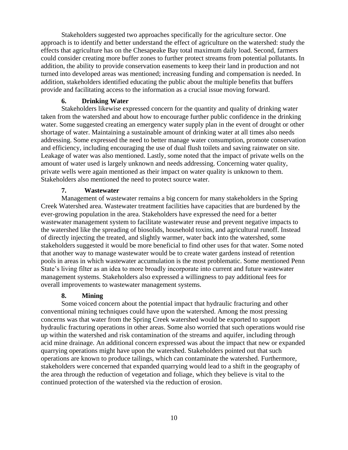Stakeholders suggested two approaches specifically for the agriculture sector. One approach is to identify and better understand the effect of agriculture on the watershed: study the effects that agriculture has on the Chesapeake Bay total maximum daily load. Second, farmers could consider creating more buffer zones to further protect streams from potential pollutants. In addition, the ability to provide conservation easements to keep their land in production and not turned into developed areas was mentioned; increasing funding and compensation is needed. In addition, stakeholders identified educating the public about the multiple benefits that buffers provide and facilitating access to the information as a crucial issue moving forward.

# **6. Drinking Water**

<span id="page-10-0"></span>Stakeholders likewise expressed concern for the quantity and quality of drinking water taken from the watershed and about how to encourage further public confidence in the drinking water. Some suggested creating an emergency water supply plan in the event of drought or other shortage of water. Maintaining a sustainable amount of drinking water at all times also needs addressing. Some expressed the need to better manage water consumption, promote conservation and efficiency, including encouraging the use of dual flush toilets and saving rainwater on site. Leakage of water was also mentioned. Lastly, some noted that the impact of private wells on the amount of water used is largely unknown and needs addressing. Concerning water quality, private wells were again mentioned as their impact on water quality is unknown to them. Stakeholders also mentioned the need to protect source water.

## **7. Wastewater**

<span id="page-10-1"></span>Management of wastewater remains a big concern for many stakeholders in the Spring Creek Watershed area. Wastewater treatment facilities have capacities that are burdened by the ever-growing population in the area. Stakeholders have expressed the need for a better wastewater management system to facilitate wastewater reuse and prevent negative impacts to the watershed like the spreading of biosolids, household toxins, and agricultural runoff. Instead of directly injecting the treated, and slightly warmer, water back into the watershed, some stakeholders suggested it would be more beneficial to find other uses for that water. Some noted that another way to manage wastewater would be to create water gardens instead of retention pools in areas in which wastewater accumulation is the most problematic. Some mentioned Penn State's living filter as an idea to more broadly incorporate into current and future wastewater management systems. Stakeholders also expressed a willingness to pay additional fees for overall improvements to wastewater management systems.

## **8. Mining**

<span id="page-10-2"></span>Some voiced concern about the potential impact that hydraulic fracturing and other conventional mining techniques could have upon the watershed. Among the most pressing concerns was that water from the Spring Creek watershed would be exported to support hydraulic fracturing operations in other areas. Some also worried that such operations would rise up within the watershed and risk contamination of the streams and aquifer, including through acid mine drainage. An additional concern expressed was about the impact that new or expanded quarrying operations might have upon the watershed. Stakeholders pointed out that such operations are known to produce tailings, which can contaminate the watershed. Furthermore, stakeholders were concerned that expanded quarrying would lead to a shift in the geography of the area through the reduction of vegetation and foliage, which they believe is vital to the continued protection of the watershed via the reduction of erosion.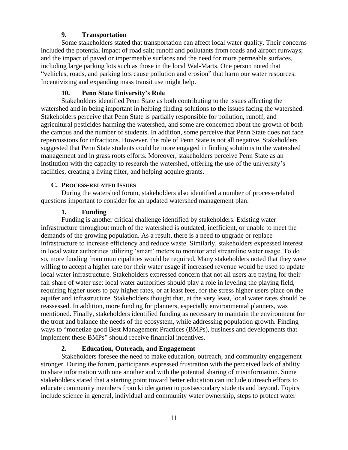# **9. Transportation**

<span id="page-11-0"></span>Some stakeholders stated that transportation can affect local water quality. Their concerns included the potential impact of road salt; runoff and pollutants from roads and airport runways; and the impact of paved or impermeable surfaces and the need for more permeable surfaces, including large parking lots such as those in the local Wal-Marts. One person noted that "vehicles, roads, and parking lots cause pollution and erosion" that harm our water resources. Incentivizing and expanding mass transit use might help.

## **10. Penn State University's Role**

<span id="page-11-1"></span>Stakeholders identified Penn State as both contributing to the issues affecting the watershed and in being important in helping finding solutions to the issues facing the watershed. Stakeholders perceive that Penn State is partially responsible for pollution, runoff, and agricultural pesticides harming the watershed, and some are concerned about the growth of both the campus and the number of students. In addition, some perceive that Penn State does not face repercussions for infractions. However, the role of Penn State is not all negative. Stakeholders suggested that Penn State students could be more engaged in finding solutions to the watershed management and in grass roots efforts. Moreover, stakeholders perceive Penn State as an institution with the capacity to research the watershed, offering the use of the university's facilities, creating a living filter, and helping acquire grants.

## <span id="page-11-2"></span>**C. PROCESS-RELATED ISSUES**

During the watershed forum, stakeholders also identified a number of process-related questions important to consider for an updated watershed management plan.

## **1. Funding**

<span id="page-11-3"></span>Funding is another critical challenge identified by stakeholders. Existing water infrastructure throughout much of the watershed is outdated, inefficient, or unable to meet the demands of the growing population. As a result, there is a need to upgrade or replace infrastructure to increase efficiency and reduce waste. Similarly, stakeholders expressed interest in local water authorities utilizing 'smart' meters to monitor and streamline water usage. To do so, more funding from municipalities would be required. Many stakeholders noted that they were willing to accept a higher rate for their water usage if increased revenue would be used to update local water infrastructure. Stakeholders expressed concern that not all users are paying for their fair share of water use: local water authorities should play a role in leveling the playing field, requiring higher users to pay higher rates, or at least fees, for the stress higher users place on the aquifer and infrastructure. Stakeholders thought that, at the very least, local water rates should be reassessed. In addition, more funding for planners, especially environmental planners, was mentioned. Finally, stakeholders identified funding as necessary to maintain the environment for the trout and balance the needs of the ecosystem, while addressing population growth. Finding ways to "monetize good Best Management Practices (BMPs), business and developments that implement these BMPs" should receive financial incentives.

# **2. Education, Outreach, and Engagement**

<span id="page-11-4"></span>Stakeholders foresee the need to make education, outreach, and community engagement stronger. During the forum, participants expressed frustration with the perceived lack of ability to share information with one another and with the potential sharing of misinformation. Some stakeholders stated that a starting point toward better education can include outreach efforts to educate community members from kindergarten to postsecondary students and beyond. Topics include science in general, individual and community water ownership, steps to protect water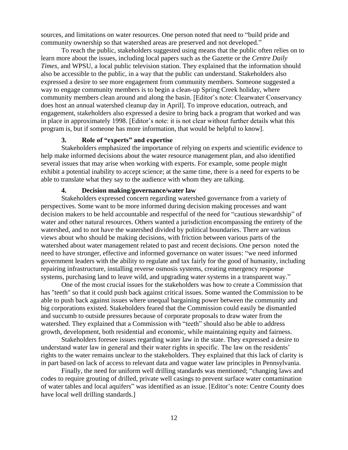sources, and limitations on water resources. One person noted that need to "build pride and community ownership so that watershed areas are preserved and not developed."

To reach the public, stakeholders suggested using means that the public often relies on to learn more about the issues, including local papers such as the Gazette or the *Centre Daily Times*, and WPSU, a local public television station. They explained that the information should also be accessible to the public, in a way that the public can understand. Stakeholders also expressed a desire to see more engagement from community members. Someone suggested a way to engage community members is to begin a clean-up Spring Creek holiday, where community members clean around and along the basin. [Editor's note: Clearwater Conservancy does host an annual watershed cleanup day in April]. To improve education, outreach, and engagement, stakeholders also expressed a desire to bring back a program that worked and was in place in approximately 1998. [Editor's note: it is not clear without further details what this program is, but if someone has more information, that would be helpful to know].

#### **3. Role of "experts" and expertise**

<span id="page-12-0"></span>Stakeholders emphasized the importance of relying on experts and scientific evidence to help make informed decisions about the water resource management plan, and also identified several issues that may arise when working with experts. For example, some people might exhibit a potential inability to accept science; at the same time, there is a need for experts to be able to translate what they say to the audience with whom they are talking.

#### **4. Decision making/governance/water law**

<span id="page-12-1"></span>Stakeholders expressed concern regarding watershed governance from a variety of perspectives. Some want to be more informed during decision making processes and want decision makers to be held accountable and respectful of the need for "cautious stewardship" of water and other natural resources. Others wanted a jurisdiction encompassing the entirety of the watershed, and to not have the watershed divided by political boundaries. There are various views about who should be making decisions, with friction between various parts of the watershed about water management related to past and recent decisions. One person noted the need to have stronger, effective and informed governance on water issues: "we need informed government leaders with the ability to regulate and tax fairly for the good of humanity, including repairing infrastructure, installing reverse osmosis systems, creating emergency response systems, purchasing land to leave wild, and upgrading water systems in a transparent way."

One of the most crucial issues for the stakeholders was how to create a Commission that has "teeth" so that it could push back against critical issues. Some wanted the Commission to be able to push back against issues where unequal bargaining power between the community and big corporations existed. Stakeholders feared that the Commission could easily be dismantled and succumb to outside pressures because of corporate proposals to draw water from the watershed. They explained that a Commission with "teeth" should also be able to address growth, development, both residential and economic, while maintaining equity and fairness.

Stakeholders foresee issues regarding water law in the state. They expressed a desire to understand water law in general and their water rights in specific. The law on the residents' rights to the water remains unclear to the stakeholders. They explained that this lack of clarity is in part based on lack of access to relevant data and vague water law principles in Pennsylvania.

Finally, the need for uniform well drilling standards was mentioned; "changing laws and codes to require grouting of drilled, private well casings to prevent surface water contamination of water tables and local aquifers" was identified as an issue. [Editor's note: Centre County does have local well drilling standards.]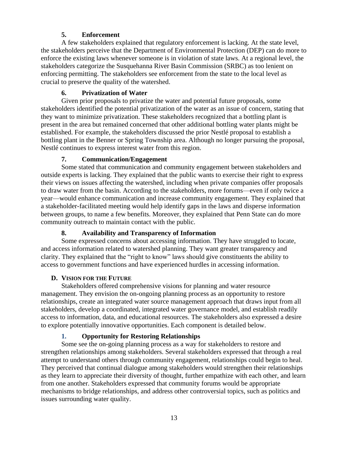# **5. Enforcement**

<span id="page-13-0"></span>A few stakeholders explained that regulatory enforcement is lacking. At the state level, the stakeholders perceive that the Department of Environmental Protection (DEP) can do more to enforce the existing laws whenever someone is in violation of state laws. At a regional level, the stakeholders categorize the Susquehanna River Basin Commission (SRBC) as too lenient on enforcing permitting. The stakeholders see enforcement from the state to the local level as crucial to preserve the quality of the watershed.

# **6. Privatization of Water**

<span id="page-13-1"></span>Given prior proposals to privatize the water and potential future proposals, some stakeholders identified the potential privatization of the water as an issue of concern, stating that they want to minimize privatization. These stakeholders recognized that a bottling plant is present in the area but remained concerned that other additional bottling water plants might be established. For example, the stakeholders discussed the prior Nestlé proposal to establish a bottling plant in the Benner or Spring Township area. Although no longer pursuing the proposal, Nestlé continues to express interest water from this region.

# **7. Communication/Engagement**

<span id="page-13-2"></span>Some stated that communication and community engagement between stakeholders and outside experts is lacking. They explained that the public wants to exercise their right to express their views on issues affecting the watershed, including when private companies offer proposals to draw water from the basin. According to the stakeholders, more forums—even if only twice a year—would enhance communication and increase community engagement. They explained that a stakeholder-facilitated meeting would help identify gaps in the laws and disperse information between groups, to name a few benefits. Moreover, they explained that Penn State can do more community outreach to maintain contact with the public.

# **8. Availability and Transparency of Information**

<span id="page-13-3"></span>Some expressed concerns about accessing information. They have struggled to locate, and access information related to watershed planning. They want greater transparency and clarity. They explained that the "right to know" laws should give constituents the ability to access to government functions and have experienced hurdles in accessing information.

# <span id="page-13-4"></span>**D. VISION FOR THE FUTURE**

Stakeholders offered comprehensive visions for planning and water resource management. They envision the on-ongoing planning process as an opportunity to restore relationships, create an integrated water source management approach that draws input from all stakeholders, develop a coordinated, integrated water governance model, and establish readily access to information, data, and educational resources. The stakeholders also expressed a desire to explore potentially innovative opportunities. Each component is detailed below.

# **1. Opportunity for Restoring Relationships**

<span id="page-13-5"></span>Some see the on-going planning process as a way for stakeholders to restore and strengthen relationships among stakeholders. Several stakeholders expressed that through a real attempt to understand others through community engagement, relationships could begin to heal. They perceived that continual dialogue among stakeholders would strengthen their relationships as they learn to appreciate their diversity of thought, further empathize with each other, and learn from one another. Stakeholders expressed that community forums would be appropriate mechanisms to bridge relationships, and address other controversial topics, such as politics and issues surrounding water quality.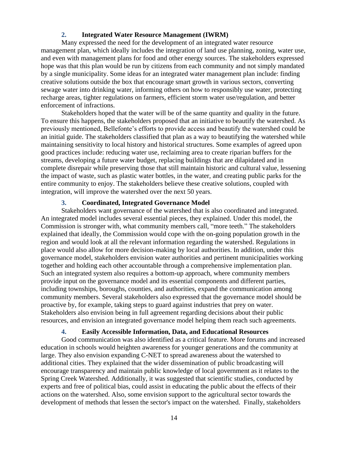## **2. Integrated Water Resource Management (IWRM)**

<span id="page-14-0"></span>Many expressed the need for the development of an integrated water resource management plan, which ideally includes the integration of land use planning, zoning, water use, and even with management plans for food and other energy sources. The stakeholders expressed hope was that this plan would be run by citizens from each community and not simply mandated by a single municipality. Some ideas for an integrated water management plan include: finding creative solutions outside the box that encourage smart growth in various sectors, converting sewage water into drinking water, informing others on how to responsibly use water, protecting recharge areas, tighter regulations on farmers, efficient storm water use/regulation, and better enforcement of infractions.

Stakeholders hoped that the water will be of the same quantity and quality in the future. To ensure this happens, the stakeholders proposed that an initiative to beautify the watershed. As previously mentioned, Bellefonte's efforts to provide access and beautify the watershed could be an initial guide. The stakeholders classified that plan as a way to beautifying the watershed while maintaining sensitivity to local history and historical structures. Some examples of agreed upon good practices include: reducing water use, reclaiming area to create riparian buffers for the streams, developing a future water budget, replacing buildings that are dilapidated and in complete disrepair while preserving those that still maintain historic and cultural value, lessening the impact of waste, such as plastic water bottles, in the water, and creating public parks for the entire community to enjoy. The stakeholders believe these creative solutions, coupled with integration, will improve the watershed over the next 50 years.

## **3. Coordinated, Integrated Governance Model**

<span id="page-14-1"></span>Stakeholders want governance of the watershed that is also coordinated and integrated. An integrated model includes several essential pieces, they explained. Under this model, the Commission is stronger with, what community members call, "more teeth." The stakeholders explained that ideally, the Commission would cope with the on-going population growth in the region and would look at all the relevant information regarding the watershed. Regulations in place would also allow for more decision-making by local authorities. In addition, under this governance model, stakeholders envision water authorities and pertinent municipalities working together and holding each other accountable through a comprehensive implementation plan. Such an integrated system also requires a bottom-up approach, where community members provide input on the governance model and its essential components and different parties, including townships, boroughs, counties, and authorities, expand the communication among community members. Several stakeholders also expressed that the governance model should be proactive by, for example, taking steps to guard against industries that prey on water. Stakeholders also envision being in full agreement regarding decisions about their public resources, and envision an integrated governance model helping them reach such agreements.

## **4. Easily Accessible Information, Data, and Educational Resources**

<span id="page-14-2"></span>Good communication was also identified as a critical feature. More forums and increased education in schools would heighten awareness for younger generations and the community at large. They also envision expanding C-NET to spread awareness about the watershed to additional cities. They explained that the wider dissemination of public broadcasting will encourage transparency and maintain public knowledge of local government as it relates to the Spring Creek Watershed. Additionally, it was suggested that scientific studies, conducted by experts and free of political bias, could assist in educating the public about the effects of their actions on the watershed. Also, some envision support to the agricultural sector towards the development of methods that lessen the sector's impact on the watershed. Finally, stakeholders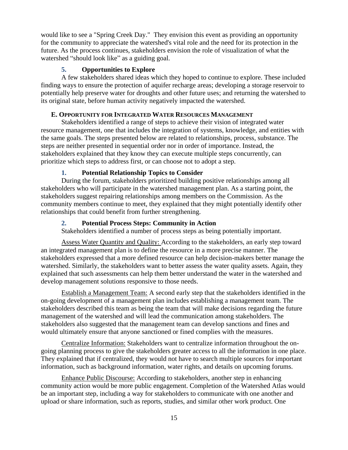would like to see a "Spring Creek Day." They envision this event as providing an opportunity for the community to appreciate the watershed's vital role and the need for its protection in the future. As the process continues, stakeholders envision the role of visualization of what the watershed "should look like" as a guiding goal.

# **5. Opportunities to Explore**

<span id="page-15-0"></span>A few stakeholders shared ideas which they hoped to continue to explore. These included finding ways to ensure the protection of aquifer recharge areas; developing a storage reservoir to potentially help preserve water for droughts and other future uses; and returning the watershed to its original state, before human activity negatively impacted the watershed.

# <span id="page-15-1"></span>**E. OPPORTUNITY FOR INTEGRATED WATER RESOURCES MANAGEMENT**

Stakeholders identified a range of steps to achieve their vision of integrated water resource management, one that includes the integration of systems, knowledge, and entities with the same goals. The steps presented below are related to relationships, process, substance. The steps are neither presented in sequential order nor in order of importance. Instead, the stakeholders explained that they know they can execute multiple steps concurrently, can prioritize which steps to address first, or can choose not to adopt a step.

# **1. Potential Relationship Topics to Consider**

<span id="page-15-2"></span>During the forum, stakeholders prioritized building positive relationships among all stakeholders who will participate in the watershed management plan. As a starting point, the stakeholders suggest repairing relationships among members on the Commission. As the community members continue to meet, they explained that they might potentially identify other relationships that could benefit from further strengthening.

# <span id="page-15-3"></span>**2. Potential Process Steps: Community in Action**

Stakeholders identified a number of process steps as being potentially important.

Assess Water Quantity and Quality: According to the stakeholders, an early step toward an integrated management plan is to define the resource in a more precise manner. The stakeholders expressed that a more defined resource can help decision-makers better manage the watershed. Similarly, the stakeholders want to better assess the water quality assets. Again, they explained that such assessments can help them better understand the water in the watershed and develop management solutions responsive to those needs.

Establish a Management Team: A second early step that the stakeholders identified in the on-going development of a management plan includes establishing a management team. The stakeholders described this team as being the team that will make decisions regarding the future management of the watershed and will lead the communication among stakeholders. The stakeholders also suggested that the management team can develop sanctions and fines and would ultimately ensure that anyone sanctioned or fined complies with the measures.

Centralize Information: Stakeholders want to centralize information throughout the ongoing planning process to give the stakeholders greater access to all the information in one place. They explained that if centralized, they would not have to search multiple sources for important information, such as background information, water rights, and details on upcoming forums.

Enhance Public Discourse: According to stakeholders, another step in enhancing community action would be more public engagement. Completion of the Watershed Atlas would be an important step, including a way for stakeholders to communicate with one another and upload or share information, such as reports, studies, and similar other work product. One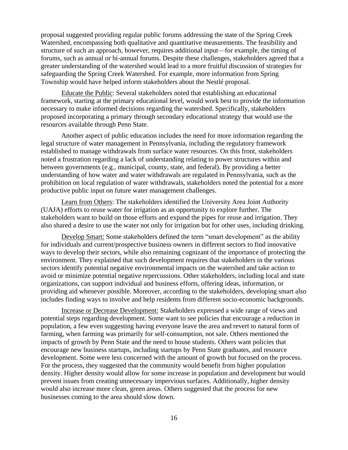proposal suggested providing regular public forums addressing the state of the Spring Creek Watershed, encompassing both qualitative and quantitative measurements. The feasibility and structure of such an approach, however, requires additional input—for example, the timing of forums, such as annual or bi-annual forums. Despite these challenges, stakeholders agreed that a greater understanding of the watershed would lead to a more fruitful discussion of strategies for safeguarding the Spring Creek Watershed. For example, more information from Spring Township would have helped inform stakeholders about the Nestlé proposal.

Educate the Public: Several stakeholders noted that establishing an educational framework, starting at the primary educational level, would work best to provide the information necessary to make informed decisions regarding the watershed. Specifically, stakeholders proposed incorporating a primary through secondary educational strategy that would use the resources available through Penn State.

Another aspect of public education includes the need for more information regarding the legal structure of water management in Pennsylvania, including the regulatory framework established to manage withdrawals from surface water resources. On this front, stakeholders noted a frustration regarding a lack of understanding relating to power structures within and between governments (e.g., municipal, county, state, and federal). By providing a better understanding of how water and water withdrawals are regulated in Pennsylvania, such as the prohibition on local regulation of water withdrawals, stakeholders noted the potential for a more productive public input on future water management challenges.

Learn from Others: The stakeholders identified the University Area Joint Authority (UAJA) efforts to reuse water for irrigation as an opportunity to explore further. The stakeholders want to build on those efforts and expand the pipes for reuse and irrigation. They also shared a desire to use the water not only for irrigation but for other uses, including drinking.

Develop Smart: Some stakeholders defined the term "smart development" as the ability for individuals and current/prospective business owners in different sectors to find innovative ways to develop their sectors, while also remaining cognizant of the importance of protecting the environment. They explained that such development requires that stakeholders in the various sectors identify potential negative environmental impacts on the watershed and take action to avoid or minimize potential negative repercussions. Other stakeholders, including local and state organizations, can support individual and business efforts, offering ideas, information, or providing aid whenever possible. Moreover, according to the stakeholders, developing smart also includes finding ways to involve and help residents from different socio-economic backgrounds.

Increase or Decrease Development: Stakeholders expressed a wide range of views and potential steps regarding development. Some want to see policies that encourage a reduction in population, a few even suggesting having everyone leave the area and revert to natural form of farming, when farming was primarily for self-consumption, not sale. Others mentioned the impacts of growth by Penn State and the need to house students. Others want policies that encourage new business startups, including startups by Penn State graduates, and resource development. Some were less concerned with the amount of growth but focused on the process. For the process, they suggested that the community would benefit from higher population density. Higher density would allow for some increase in population and development but would prevent issues from creating unnecessary impervious surfaces. Additionally, higher density would also increase more clean, green areas. Others suggested that the process for new businesses coming to the area should slow down.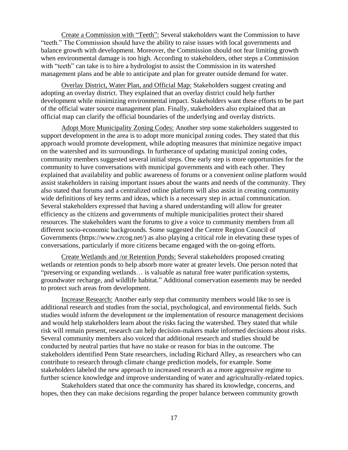Create a Commission with "Teeth": Several stakeholders want the Commission to have "teeth." The Commission should have the ability to raise issues with local governments and balance growth with development. Moreover, the Commission should not fear limiting growth when environmental damage is too high. According to stakeholders, other steps a Commission with "teeth" can take is to hire a hydrologist to assist the Commission in its watershed management plans and be able to anticipate and plan for greater outside demand for water.

Overlay District, Water Plan, and Official Map: Stakeholders suggest creating and adopting an overlay district. They explained that an overlay district could help further development while minimizing environmental impact. Stakeholders want these efforts to be part of the official water source management plan. Finally, stakeholders also explained that an official map can clarify the official boundaries of the underlying and overlay districts.

Adopt More Municipality Zoning Codes: Another step some stakeholders suggested to support development in the area is to adopt more municipal zoning codes. They stated that this approach would promote development, while adopting measures that minimize negative impact on the watershed and its surroundings. In furtherance of updating municipal zoning codes, community members suggested several initial steps. One early step is more opportunities for the community to have conversations with municipal governments and with each other. They explained that availability and public awareness of forums or a convenient online platform would assist stakeholders in raising important issues about the wants and needs of the community. They also stated that forums and a centralized online platform will also assist in creating community wide definitions of key terms and ideas, which is a necessary step in actual communication. Several stakeholders expressed that having a shared understanding will allow for greater efficiency as the citizens and governments of multiple municipalities protect their shared resources. The stakeholders want the forums to give a voice to community members from all different socio-economic backgrounds. Some suggested the Centre Region Council of Governments (https://www.crcog.net/) as also playing a critical role in elevating these types of conversations, particularly if more citizens became engaged with the on-going efforts.

Create Wetlands and /or Retention Ponds: Several stakeholders proposed creating wetlands or retention ponds to help absorb more water at greater levels. One person noted that "preserving or expanding wetlands… is valuable as natural free water purification systems, groundwater recharge, and wildlife habitat." Additional conservation easements may be needed to protect such areas from development.

Increase Research: Another early step that community members would like to see is additional research and studies from the social, psychological, and environmental fields. Such studies would inform the development or the implementation of resource management decisions and would help stakeholders learn about the risks facing the watershed. They stated that while risk will remain present, research can help decision-makers make informed decisions about risks. Several community members also voiced that additional research and studies should be conducted by neutral parties that have no stake or reason for bias in the outcome. The stakeholders identified Penn State researchers, including Richard Alley, as researchers who can contribute to research through climate change prediction models, for example. Some stakeholders labeled the new approach to increased research as a more aggressive regime to further science knowledge and improve understanding of water and agriculturally-related topics.

Stakeholders stated that once the community has shared its knowledge, concerns, and hopes, then they can make decisions regarding the proper balance between community growth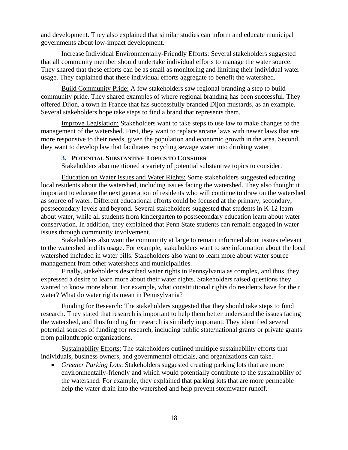and development. They also explained that similar studies can inform and educate municipal governments about low-impact development.

Increase Individual Environmentally-Friendly Efforts: Several stakeholders suggested that all community member should undertake individual efforts to manage the water source. They shared that these efforts can be as small as monitoring and limiting their individual water usage. They explained that these individual efforts aggregate to benefit the watershed.

Build Community Pride: A few stakeholders saw regional branding a step to build community pride. They shared examples of where regional branding has been successful. They offered Dijon, a town in France that has successfully branded Dijon mustards, as an example. Several stakeholders hope take steps to find a brand that represents them.

Improve Legislation: Stakeholders want to take steps to use law to make changes to the management of the watershed. First, they want to replace arcane laws with newer laws that are more responsive to their needs, given the population and economic growth in the area. Second, they want to develop law that facilitates recycling sewage water into drinking water.

#### **3. POTENTIAL SUBSTANTIVE TOPICS TO CONSIDER**

Stakeholders also mentioned a variety of potential substantive topics to consider.

<span id="page-18-0"></span>Education on Water Issues and Water Rights: Some stakeholders suggested educating local residents about the watershed, including issues facing the watershed. They also thought it important to educate the next generation of residents who will continue to draw on the watershed as source of water. Different educational efforts could be focused at the primary, secondary, postsecondary levels and beyond. Several stakeholders suggested that students in K-12 learn about water, while all students from kindergarten to postsecondary education learn about water conservation. In addition, they explained that Penn State students can remain engaged in water issues through community involvement.

Stakeholders also want the community at large to remain informed about issues relevant to the watershed and its usage. For example, stakeholders want to see information about the local watershed included in water bills. Stakeholders also want to learn more about water source management from other watersheds and municipalities.

Finally, stakeholders described water rights in Pennsylvania as complex, and thus, they expressed a desire to learn more about their water rights. Stakeholders raised questions they wanted to know more about. For example, what constitutional rights do residents have for their water? What do water rights mean in Pennsylvania?

Funding for Research: The stakeholders suggested that they should take steps to fund research. They stated that research is important to help them better understand the issues facing the watershed, and thus funding for research is similarly important. They identified several potential sources of funding for research, including public state/national grants or private grants from philanthropic organizations.

Sustainability Efforts: The stakeholders outlined multiple sustainability efforts that individuals, business owners, and governmental officials, and organizations can take.

 *Greener Parking Lots*: Stakeholders suggested creating parking lots that are more environmentally-friendly and which would potentially contribute to the sustainability of the watershed. For example, they explained that parking lots that are more permeable help the water drain into the watershed and help prevent stormwater runoff.